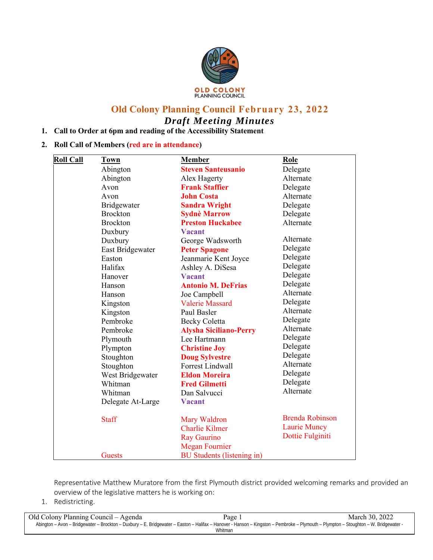

# **Old Colony Planning Council February 23, 2022**  *Draft Meeting Minutes*

# **1. Call to Order at 6pm and reading of the Accessibility Statement**

# **2. Roll Call of Members (red are in attendance)**

| <b>Roll Call</b> | <b>Town</b>       | <b>Member</b>                     | Role                   |
|------------------|-------------------|-----------------------------------|------------------------|
|                  | Abington          | <b>Steven Santeusanio</b>         | Delegate               |
|                  | Abington          | Alex Hagerty                      | Alternate              |
|                  | Avon              | <b>Frank Staffier</b>             | Delegate               |
|                  | Avon              | <b>John Costa</b>                 | Alternate              |
|                  | Bridgewater       | <b>Sandra Wright</b>              | Delegate               |
|                  | <b>Brockton</b>   | <b>Sydnè Marrow</b>               | Delegate               |
|                  | <b>Brockton</b>   | <b>Preston Huckabee</b>           | Alternate              |
|                  | Duxbury           | <b>Vacant</b>                     |                        |
|                  | Duxbury           | George Wadsworth                  | Alternate              |
|                  | East Bridgewater  | <b>Peter Spagone</b>              | Delegate               |
|                  | Easton            | Jeanmarie Kent Joyce              | Delegate               |
|                  | Halifax           | Ashley A. DiSesa                  | Delegate               |
|                  | Hanover           | <b>Vacant</b>                     | Delegate               |
|                  | Hanson            | <b>Antonio M. DeFrias</b>         | Delegate               |
|                  | Hanson            | Joe Campbell                      | Alternate              |
|                  | Kingston          | <b>Valerie Massard</b>            | Delegate               |
|                  | Kingston          | Paul Basler                       | Alternate              |
|                  | Pembroke          | <b>Becky Coletta</b>              | Delegate               |
|                  | Pembroke          | <b>Alysha Siciliano-Perry</b>     | Alternate              |
|                  | Plymouth          | Lee Hartmann                      | Delegate               |
|                  | Plympton          | <b>Christine Joy</b>              | Delegate               |
|                  | Stoughton         | <b>Doug Sylvestre</b>             | Delegate               |
|                  | Stoughton         | <b>Forrest Lindwall</b>           | Alternate              |
|                  | West Bridgewater  | <b>Eldon Moreira</b>              | Delegate               |
|                  | Whitman           | <b>Fred Gilmetti</b>              | Delegate               |
|                  | Whitman           | Dan Salvucci                      | Alternate              |
|                  | Delegate At-Large | <b>Vacant</b>                     |                        |
|                  | <b>Staff</b>      | Mary Waldron                      | <b>Brenda Robinson</b> |
|                  |                   | <b>Charlie Kilmer</b>             | <b>Laurie Muncy</b>    |
|                  |                   | <b>Ray Gaurino</b>                | Dottie Fulginiti       |
|                  |                   | <b>Megan Fournier</b>             |                        |
|                  | <b>Guests</b>     | <b>BU</b> Students (listening in) |                        |

Representative Matthew Muratore from the first Plymouth district provided welcoming remarks and provided an overview of the legislative matters he is working on:

1. Redistricting.

| Old Colony Planning Council – Agenda | Page 1                                                                                                                                                                               | March 30, 2022 |
|--------------------------------------|--------------------------------------------------------------------------------------------------------------------------------------------------------------------------------------|----------------|
|                                      | - Abington - Avon - Bridgewater - Brockton - Duxbury - E. Bridgewater - Easton - Halifax - Hanover - Hanson - Kingston - Pembroke - Plymouth - Plympton - Stoughton - W. Bridgewater |                |
|                                      | <b>Whitman</b>                                                                                                                                                                       |                |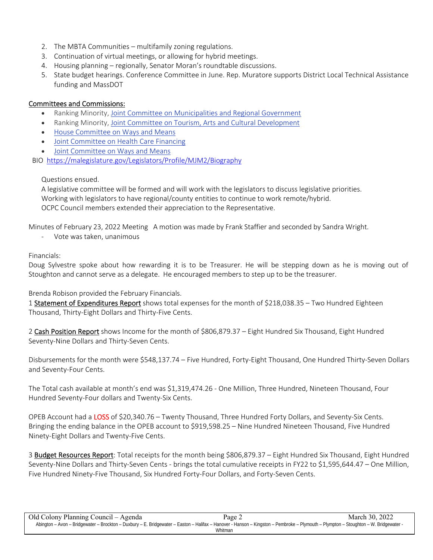- 2. The MBTA Communities multifamily zoning regulations.
- 3. Continuation of virtual meetings, or allowing for hybrid meetings.
- 4. Housing planning regionally, Senator Moran's roundtable discussions.
- 5. State budget hearings. Conference Committee in June. Rep. Muratore supports District Local Technical Assistance funding and MassDOT

# Committees and Commissions:

- Ranking Minority, Joint Committee on Municipalities and Regional Government
- Ranking Minority, Joint Committee on Tourism, Arts and Cultural Development
- House Committee on Ways and Means
- Joint Committee on Health Care Financing
- Joint Committee on Ways and Means

BIO https://malegislature.gov/Legislators/Profile/MJM2/Biography

# Questions ensued.

A legislative committee will be formed and will work with the legislators to discuss legislative priorities. Working with legislators to have regional/county entities to continue to work remote/hybrid. OCPC Council members extended their appreciation to the Representative.

Minutes of February 23, 2022 Meeting A motion was made by Frank Staffier and seconded by Sandra Wright.

‐ Vote was taken, unanimous

# Financials:

Doug Sylvestre spoke about how rewarding it is to be Treasurer. He will be stepping down as he is moving out of Stoughton and cannot serve as a delegate. He encouraged members to step up to be the treasurer.

# Brenda Robison provided the February Financials.

1 Statement of Expenditures Report shows total expenses for the month of \$218,038.35 - Two Hundred Eighteen Thousand, Thirty‐Eight Dollars and Thirty‐Five Cents.

2 Cash Position Report shows Income for the month of \$806,879.37 – Eight Hundred Six Thousand, Eight Hundred Seventy‐Nine Dollars and Thirty‐Seven Cents.

Disbursements for the month were \$548,137.74 – Five Hundred, Forty‐Eight Thousand, One Hundred Thirty‐Seven Dollars and Seventy‐Four Cents.

The Total cash available at month's end was \$1,319,474.26 ‐ One Million, Three Hundred, Nineteen Thousand, Four Hundred Seventy‐Four dollars and Twenty‐Six Cents.

OPEB Account had a LOSS of \$20,340.76 – Twenty Thousand, Three Hundred Forty Dollars, and Seventy-Six Cents. Bringing the ending balance in the OPEB account to \$919,598.25 – Nine Hundred Nineteen Thousand, Five Hundred Ninety‐Eight Dollars and Twenty‐Five Cents.

3 Budget Resources Report: Total receipts for the month being \$806,879.37 – Eight Hundred Six Thousand, Eight Hundred Seventy‐Nine Dollars and Thirty‐Seven Cents ‐ brings the total cumulative receipts in FY22 to \$1,595,644.47 – One Million, Five Hundred Ninety‐Five Thousand, Six Hundred Forty‐Four Dollars, and Forty‐Seven Cents.

| Old Colony Planning Council – Agenda                                                                                                                                                 | Page 2  | March 30, 2022 |
|--------------------------------------------------------------------------------------------------------------------------------------------------------------------------------------|---------|----------------|
| - Abington – Avon – Bridgewater – Brockton – Duxbury – E. Bridgewater – Easton – Halifax – Hanover - Hanson – Kingston – Pembroke – Plymouth – Plympton – Stoughton – W. Bridgewater |         |                |
|                                                                                                                                                                                      | Whitman |                |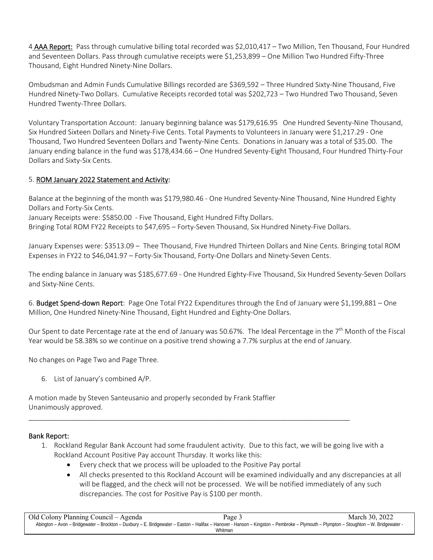4 AAA Report: Pass through cumulative billing total recorded was \$2,010,417 – Two Million, Ten Thousand, Four Hundred and Seventeen Dollars. Pass through cumulative receipts were \$1,253,899 – One Million Two Hundred Fifty-Three Thousand, Eight Hundred Ninety‐Nine Dollars.

Ombudsman and Admin Funds Cumulative Billings recorded are \$369,592 – Three Hundred Sixty‐Nine Thousand, Five Hundred Ninety‐Two Dollars. Cumulative Receipts recorded total was \$202,723 – Two Hundred Two Thousand, Seven Hundred Twenty‐Three Dollars.

Voluntary Transportation Account: January beginning balance was \$179,616.95 One Hundred Seventy‐Nine Thousand, Six Hundred Sixteen Dollars and Ninety‐Five Cents. Total Payments to Volunteers in January were \$1,217.29 ‐ One Thousand, Two Hundred Seventeen Dollars and Twenty‐Nine Cents. Donations in January was a total of \$35.00. The January ending balance in the fund was \$178,434.66 – One Hundred Seventy‐Eight Thousand, Four Hundred Thirty‐Four Dollars and Sixty‐Six Cents.

# 5. ROM January 2022 Statement and Activity:

Balance at the beginning of the month was \$179,980.46 ‐ One Hundred Seventy‐Nine Thousand, Nine Hundred Eighty Dollars and Forty‐Six Cents.

January Receipts were: \$5850.00 ‐ Five Thousand, Eight Hundred Fifty Dollars.

Bringing Total ROM FY22 Receipts to \$47,695 – Forty‐Seven Thousand, Six Hundred Ninety‐Five Dollars.

January Expenses were: \$3513.09 – Thee Thousand, Five Hundred Thirteen Dollars and Nine Cents. Bringing total ROM Expenses in FY22 to \$46,041.97 – Forty‐Six Thousand, Forty‐One Dollars and Ninety‐Seven Cents.

The ending balance in January was \$185,677.69 ‐ One Hundred Eighty‐Five Thousand, Six Hundred Seventy‐Seven Dollars and Sixty‐Nine Cents.

6. Budget Spend-down Report: Page One Total FY22 Expenditures through the End of January were \$1,199,881 – One Million, One Hundred Ninety‐Nine Thousand, Eight Hundred and Eighty‐One Dollars.

Our Spent to date Percentage rate at the end of January was 50.67%. The Ideal Percentage in the 7<sup>th</sup> Month of the Fiscal Year would be 58.38% so we continue on a positive trend showing a 7.7% surplus at the end of January.

No changes on Page Two and Page Three.

6. List of January's combined A/P.

A motion made by Steven Santeusanio and properly seconded by Frank Staffier Unanimously approved.

# Bank Report:

- 1. Rockland Regular Bank Account had some fraudulent activity. Due to this fact, we will be going live with a Rockland Account Positive Pay account Thursday. It works like this:
	- Every check that we process will be uploaded to the Positive Pay portal

\_\_\_\_\_\_\_\_\_\_\_\_\_\_\_\_\_\_\_\_\_\_\_\_\_\_\_\_\_\_\_\_\_\_\_\_\_\_\_\_\_\_\_\_\_\_\_\_\_\_\_\_\_\_\_\_\_\_\_\_\_\_\_\_\_\_\_\_\_\_\_\_\_\_\_\_\_\_\_\_\_\_\_

 All checks presented to this Rockland Account will be examined individually and any discrepancies at all will be flagged, and the check will not be processed. We will be notified immediately of any such discrepancies. The cost for Positive Pay is \$100 per month.

Old Colony Planning Council – Agenda Page 3 March 30, 2022 Abington – Avon – Bridgewater – Brockton – Duxbury – E. Bridgewater – Easton – Halifax – Hanover - Hanson – Kingston – Pembroke – Plymouth – Plympton – Stoughton – W. Bridgewater - Whitman